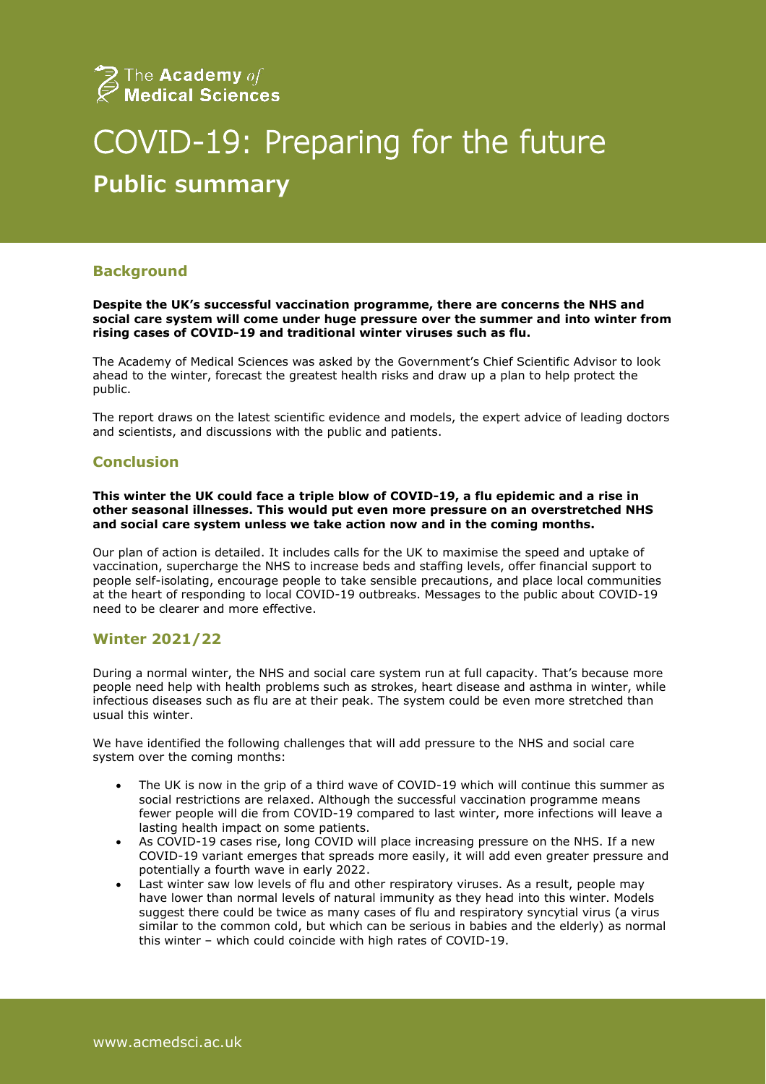

# COVID-19: Preparing for the future **Public summary**

## **Background**

**Despite the UK's successful vaccination programme, there are concerns the NHS and social care system will come under huge pressure over the summer and into winter from rising cases of COVID-19 and traditional winter viruses such as flu.**

The Academy of Medical Sciences was asked by the Government's Chief Scientific Advisor to look ahead to the winter, forecast the greatest health risks and draw up a plan to help protect the public.

The report draws on the latest scientific evidence and models, the expert advice of leading doctors and scientists, and discussions with the public and patients.

## **Conclusion**

**This winter the UK could face a triple blow of COVID-19, a flu epidemic and a rise in other seasonal illnesses. This would put even more pressure on an overstretched NHS and social care system unless we take action now and in the coming months.** 

Our plan of action is detailed. It includes calls for the UK to maximise the speed and uptake of vaccination, supercharge the NHS to increase beds and staffing levels, offer financial support to people self-isolating, encourage people to take sensible precautions, and place local communities at the heart of responding to local COVID-19 outbreaks. Messages to the public about COVID-19 need to be clearer and more effective.

#### **Winter 2021/22**

During a normal winter, the NHS and social care system run at full capacity. That's because more people need help with health problems such as strokes, heart disease and asthma in winter, while infectious diseases such as flu are at their peak. The system could be even more stretched than usual this winter.

We have identified the following challenges that will add pressure to the NHS and social care system over the coming months:

- The UK is now in the grip of a third wave of COVID-19 which will continue this summer as social restrictions are relaxed. Although the successful vaccination programme means fewer people will die from COVID-19 compared to last winter, more infections will leave a lasting health impact on some patients.
- As COVID-19 cases rise, long COVID will place increasing pressure on the NHS. If a new COVID-19 variant emerges that spreads more easily, it will add even greater pressure and potentially a fourth wave in early 2022.
- Last winter saw low levels of flu and other respiratory viruses. As a result, people may have lower than normal levels of natural immunity as they head into this winter. Models suggest there could be twice as many cases of flu and respiratory syncytial virus (a virus similar to the common cold, but which can be serious in babies and the elderly) as normal this winter – which could coincide with high rates of COVID-19.